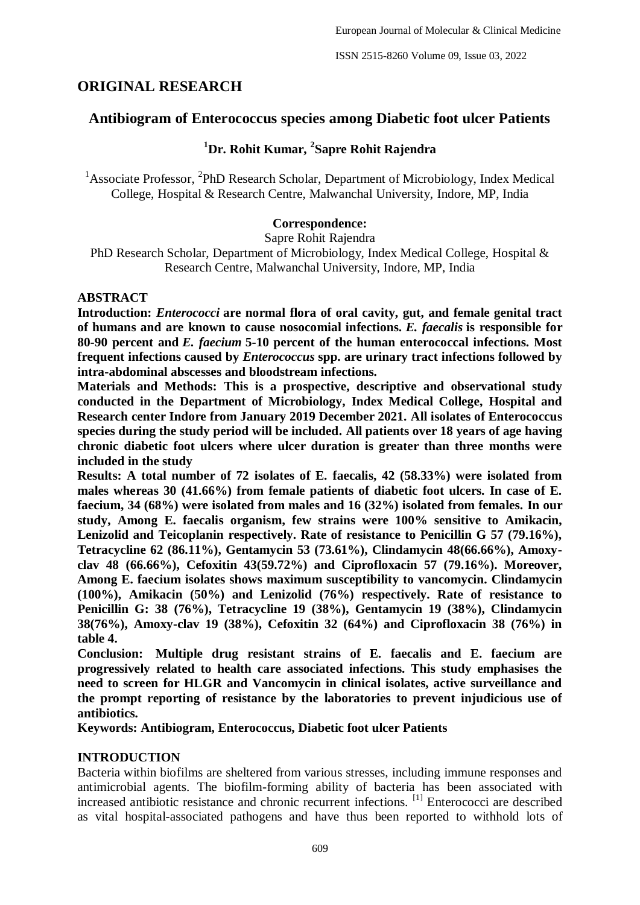ISSN 2515-8260 Volume 09, Issue 03, 2022

# **ORIGINAL RESEARCH**

## **Antibiogram of Enterococcus species among Diabetic foot ulcer Patients**

# **<sup>1</sup>Dr. Rohit Kumar, <sup>2</sup> Sapre Rohit Rajendra**

<sup>1</sup> Associate Professor, <sup>2</sup>PhD Research Scholar, Department of Microbiology, Index Medical College, Hospital & Research Centre, Malwanchal University, Indore, MP, India

## **Correspondence:**

Sapre Rohit Rajendra

PhD Research Scholar, Department of Microbiology, Index Medical College, Hospital & Research Centre, Malwanchal University, Indore, MP, India

## **ABSTRACT**

**Introduction:** *Enterococci* **are normal flora of oral cavity, gut, and female genital tract of humans and are known to cause nosocomial infections.** *E. faecalis* **is responsible for 80-90 percent and** *E. faecium* **5-10 percent of the human enterococcal infections. Most frequent infections caused by** *Enterococcus* **spp. are urinary tract infections followed by intra-abdominal abscesses and bloodstream infections.**

**Materials and Methods: This is a prospective, descriptive and observational study conducted in the Department of Microbiology, Index Medical College, Hospital and Research center Indore from January 2019 December 2021. All isolates of Enterococcus species during the study period will be included. All patients over 18 years of age having chronic diabetic foot ulcers where ulcer duration is greater than three months were included in the study**

**Results: A total number of 72 isolates of E. faecalis, 42 (58.33%) were isolated from males whereas 30 (41.66%) from female patients of diabetic foot ulcers. In case of E. faecium, 34 (68%) were isolated from males and 16 (32%) isolated from females. In our study, Among E. faecalis organism, few strains were 100% sensitive to Amikacin, Lenizolid and Teicoplanin respectively. Rate of resistance to Penicillin G 57 (79.16%), Tetracycline 62 (86.11%), Gentamycin 53 (73.61%), Clindamycin 48(66.66%), Amoxyclav 48 (66.66%), Cefoxitin 43(59.72%) and Ciprofloxacin 57 (79.16%). Moreover, Among E. faecium isolates shows maximum susceptibility to vancomycin. Clindamycin (100%), Amikacin (50%) and Lenizolid (76%) respectively. Rate of resistance to Penicillin G: 38 (76%), Tetracycline 19 (38%), Gentamycin 19 (38%), Clindamycin 38(76%), Amoxy-clav 19 (38%), Cefoxitin 32 (64%) and Ciprofloxacin 38 (76%) in table 4.** 

**Conclusion: Multiple drug resistant strains of E. faecalis and E. faecium are progressively related to health care associated infections. This study emphasises the need to screen for HLGR and Vancomycin in clinical isolates, active surveillance and the prompt reporting of resistance by the laboratories to prevent injudicious use of antibiotics.** 

**Keywords: Antibiogram, Enterococcus, Diabetic foot ulcer Patients**

## **INTRODUCTION**

Bacteria within biofilms are sheltered from various stresses, including immune responses and antimicrobial agents. The biofilm-forming ability of bacteria has been associated with increased antibiotic resistance and chronic recurrent infections. [1] Enterococci are described as vital hospital-associated pathogens and have thus been reported to withhold lots of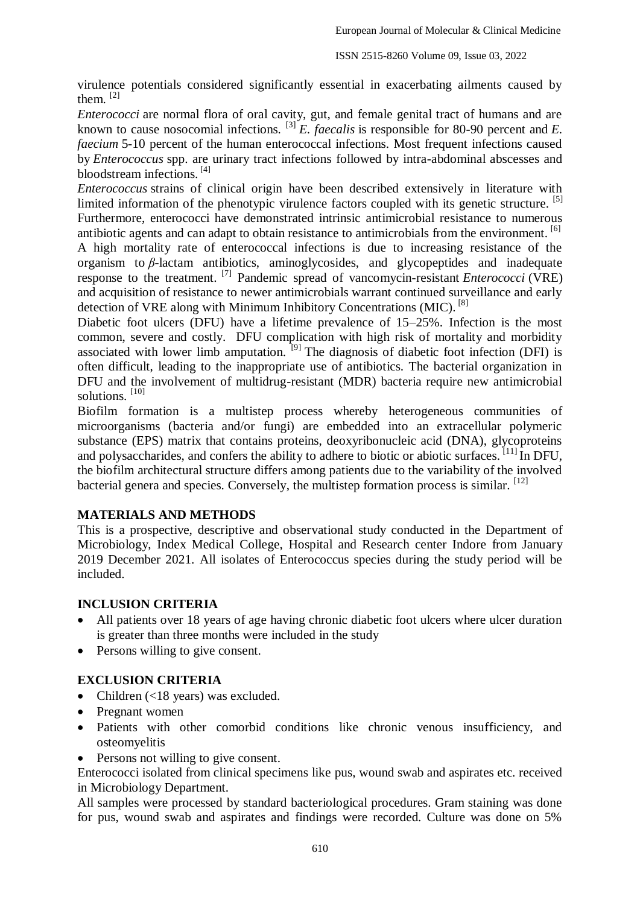virulence potentials considered significantly essential in exacerbating ailments caused by them. [2]

*Enterococci* are normal flora of oral cavity, gut, and female genital tract of humans and are known to cause nosocomial infections.  $^{[3]}E$ . *faecalis* is responsible for 80-90 percent and *E*. *faecium* 5-10 percent of the human enterococcal infections. Most frequent infections caused by *Enterococcus* spp. are urinary tract infections followed by intra-abdominal abscesses and bloodstream infections. [4]

*Enterococcus* strains of clinical origin have been described extensively in literature with limited information of the phenotypic virulence factors coupled with its genetic structure.  $\left[5\right]$ Furthermore, enterococci have demonstrated intrinsic antimicrobial resistance to numerous antibiotic agents and can adapt to obtain resistance to antimicrobials from the environment. [6]

A high mortality rate of enterococcal infections is due to increasing resistance of the organism to *β*-lactam antibiotics, aminoglycosides, and glycopeptides and inadequate response to the treatment. [7] Pandemic spread of vancomycin-resistant *Enterococci* (VRE) and acquisition of resistance to newer antimicrobials warrant continued surveillance and early detection of VRE along with Minimum Inhibitory Concentrations (MIC).<sup>[8]</sup>

Diabetic foot ulcers (DFU) have a lifetime prevalence of 15–25%. Infection is the most common, severe and costly. DFU complication with high risk of mortality and morbidity associated with lower limb amputation.  $^{[9]}$  The diagnosis of diabetic foot infection (DFI) is often difficult, leading to the inappropriate use of antibiotics. The bacterial organization in DFU and the involvement of multidrug-resistant (MDR) bacteria require new antimicrobial solutions. [10]

Biofilm formation is a multistep process whereby heterogeneous communities of microorganisms (bacteria and/or fungi) are embedded into an extracellular polymeric substance (EPS) matrix that contains proteins, deoxyribonucleic acid (DNA), glycoproteins and polysaccharides, and confers the ability to adhere to biotic or abiotic surfaces. [11] In DFU, the biofilm architectural structure differs among patients due to the variability of the involved bacterial genera and species. Conversely, the multistep formation process is similar. <sup>[12]</sup>

## **MATERIALS AND METHODS**

This is a prospective, descriptive and observational study conducted in the Department of Microbiology, Index Medical College, Hospital and Research center Indore from January 2019 December 2021. All isolates of Enterococcus species during the study period will be included.

#### **INCLUSION CRITERIA**

- All patients over 18 years of age having chronic diabetic foot ulcers where ulcer duration is greater than three months were included in the study
- Persons willing to give consent.

## **EXCLUSION CRITERIA**

- Children  $(<18$  years) was excluded.
- Pregnant women
- Patients with other comorbid conditions like chronic venous insufficiency, and osteomyelitis
- Persons not willing to give consent.

Enterococci isolated from clinical specimens like pus, wound swab and aspirates etc. received in Microbiology Department.

All samples were processed by standard bacteriological procedures. Gram staining was done for pus, wound swab and aspirates and findings were recorded. Culture was done on 5%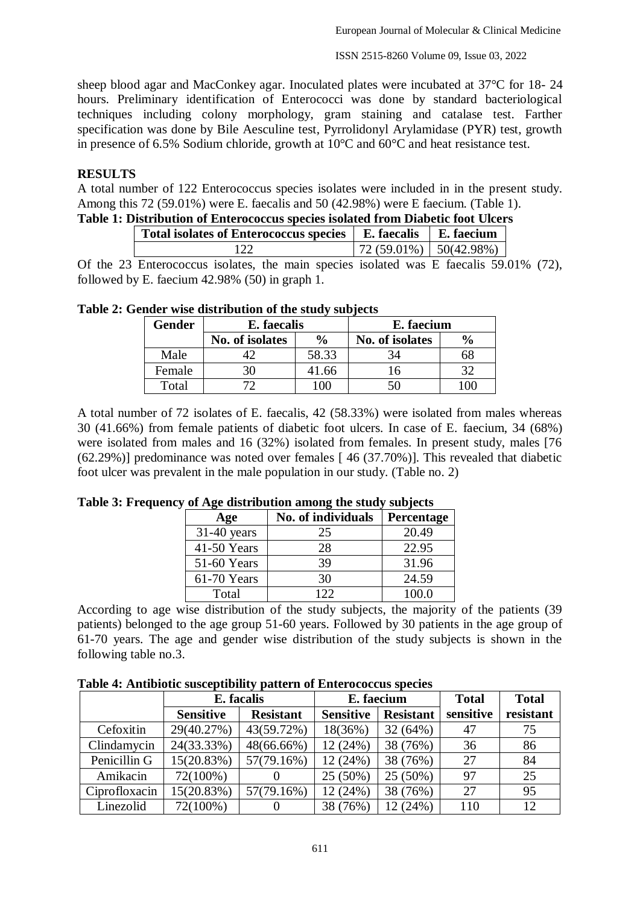ISSN 2515-8260 Volume 09, Issue 03, 2022

sheep blood agar and MacConkey agar. Inoculated plates were incubated at 37°C for 18- 24 hours. Preliminary identification of Enterococci was done by standard bacteriological techniques including colony morphology, gram staining and catalase test. Farther specification was done by Bile Aesculine test, Pyrrolidonyl Arylamidase (PYR) test, growth in presence of 6.5% Sodium chloride, growth at 10°C and 60°C and heat resistance test.

### **RESULTS**

A total number of 122 Enterococcus species isolates were included in in the present study. Among this 72 (59.01%) were E. faecalis and 50 (42.98%) were E faecium. (Table 1).

| Table 1: Distribution of Enterococcus species isolated from Diabetic foot Ulcers |  |  |
|----------------------------------------------------------------------------------|--|--|
|----------------------------------------------------------------------------------|--|--|

| <b>Total isolates of Enterococcus species</b> | E. faecalis   E. faecium        |  |
|-----------------------------------------------|---------------------------------|--|
|                                               | $\mid$ 72 (59.01%)   50(42.98%) |  |

Of the 23 Enterococcus isolates, the main species isolated was E faecalis 59.01% (72), followed by E. faecium 42.98% (50) in graph 1.

| <b>Gender</b> | E. faecalis     |               | E. faecium      |               |
|---------------|-----------------|---------------|-----------------|---------------|
|               | No. of isolates | $\frac{6}{6}$ | No. of isolates | $\frac{6}{9}$ |
| Male          |                 | 58.33         |                 | ხშ            |
| Female        | 30              | 41.66         | 16              |               |
| Total         |                 | LOC           |                 |               |

#### **Table 2: Gender wise distribution of the study subjects**

A total number of 72 isolates of E. faecalis, 42 (58.33%) were isolated from males whereas 30 (41.66%) from female patients of diabetic foot ulcers. In case of E. faecium, 34 (68%) were isolated from males and 16 (32%) isolated from females. In present study, males [76] (62.29%)] predominance was noted over females [ 46 (37.70%)]. This revealed that diabetic foot ulcer was prevalent in the male population in our study. (Table no. 2)

| Age           | No. of individuals | Percentage |
|---------------|--------------------|------------|
| $31-40$ years | 25                 | 20.49      |
| 41-50 Years   | 28                 | 22.95      |
| 51-60 Years   | 39                 | 31.96      |
| 61-70 Years   | 30                 | 24.59      |
| Total         | 122                | 100.0      |

#### **Table 3: Frequency of Age distribution among the study subjects**

According to age wise distribution of the study subjects, the majority of the patients (39 patients) belonged to the age group 51-60 years. Followed by 30 patients in the age group of 61-70 years. The age and gender wise distribution of the study subjects is shown in the following table no.3.

| Table 4: Antibiotic susceptibility pattern of Enterococcus species |  |  |  |
|--------------------------------------------------------------------|--|--|--|
|--------------------------------------------------------------------|--|--|--|

|               | . .<br>E. facalis |                  | E. faecium       |                  | <b>Total</b> | <b>Total</b> |
|---------------|-------------------|------------------|------------------|------------------|--------------|--------------|
|               | <b>Sensitive</b>  | <b>Resistant</b> | <b>Sensitive</b> | <b>Resistant</b> | sensitive    | resistant    |
| Cefoxitin     | 29(40.27%)        | 43(59.72%)       | $18(36\%)$       | 32(64%)          | 47           | 75           |
| Clindamycin   | 24(33.33%)        | 48(66.66%)       | 12 (24%)         | 38 (76%)         | 36           | 86           |
| Penicillin G  | 15(20.83%)        | 57(79.16%)       | 12(24%)          | 38 (76%)         | 27           | 84           |
| Amikacin      | 72(100%)          | O                | 25 (50%)         | 25 (50%)         | 97           | 25           |
| Ciprofloxacin | 15(20.83%)        | 57(79.16%)       | 12 (24%)         | 38 (76%)         | 27           | 95           |
| Linezolid     | 72(100%)          | $\theta$         | 38 (76%)         | 12 (24%)         | 110          | 12           |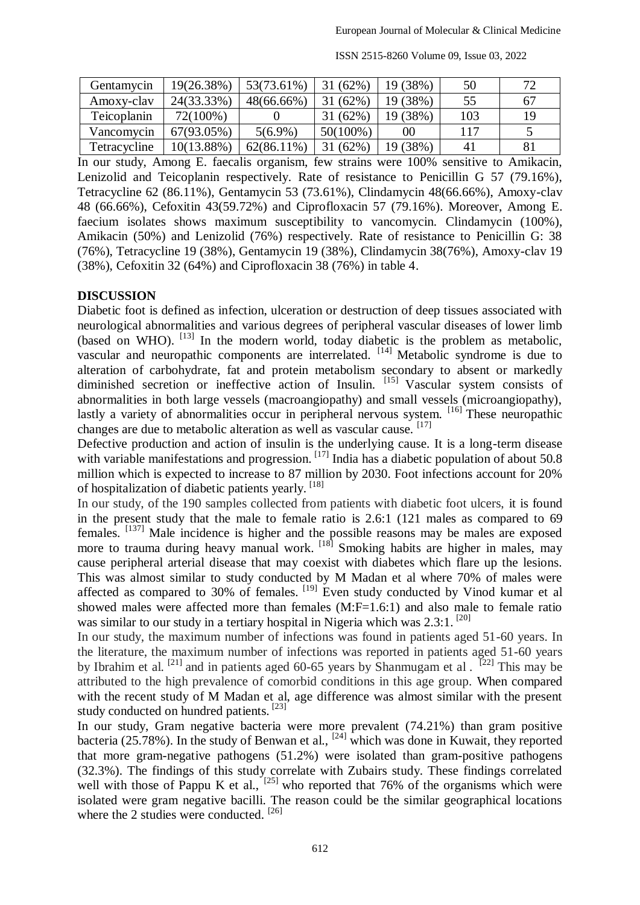| Gentamycin   | 19(26.38%)    | 53(73.61%)    | 31(62%)     | 19 (38%) | 50  | 70 |
|--------------|---------------|---------------|-------------|----------|-----|----|
| Amoxy-clay   | 24(33.33%)    | $48(66.66\%)$ | 31(62%)     | 19 (38%) | 55  | 67 |
| Teicoplanin  | 72(100%)      |               | 31(62%)     | 19 (38%) | 103 | 19 |
| Vancomycin   | 67(93.05%)    | $5(6.9\%)$    | $50(100\%)$ | 00       | 117 |    |
| Tetracycline | $10(13.88\%)$ | $62(86.11\%)$ | 31(62%)     | 19 (38%) | 4   | 81 |

ISSN 2515-8260 Volume 09, Issue 03, 2022

In our study, Among E. faecalis organism, few strains were 100% sensitive to Amikacin, Lenizolid and Teicoplanin respectively. Rate of resistance to Penicillin G 57 (79.16%), Tetracycline 62 (86.11%), Gentamycin 53 (73.61%), Clindamycin 48(66.66%), Amoxy-clav 48 (66.66%), Cefoxitin 43(59.72%) and Ciprofloxacin 57 (79.16%). Moreover, Among E. faecium isolates shows maximum susceptibility to vancomycin. Clindamycin (100%), Amikacin (50%) and Lenizolid (76%) respectively. Rate of resistance to Penicillin G: 38 (76%), Tetracycline 19 (38%), Gentamycin 19 (38%), Clindamycin 38(76%), Amoxy-clav 19 (38%), Cefoxitin 32 (64%) and Ciprofloxacin 38 (76%) in table 4.

#### **DISCUSSION**

Diabetic foot is defined as infection, ulceration or destruction of deep tissues associated with neurological abnormalities and various degrees of peripheral vascular diseases of lower limb (based on WHO). <sup>[13]</sup> In the modern world, today diabetic is the problem as metabolic, vascular and neuropathic components are interrelated. <sup>[14]</sup> Metabolic syndrome is due to alteration of carbohydrate, fat and protein metabolism secondary to absent or markedly diminished secretion or ineffective action of Insulin. [15] Vascular system consists of abnormalities in both large vessels (macroangiopathy) and small vessels (microangiopathy), lastly a variety of abnormalities occur in peripheral nervous system. <sup>[16]</sup> These neuropathic changes are due to metabolic alteration as well as vascular cause. [17]

Defective production and action of insulin is the underlying cause. It is a long-term disease with variable manifestations and progression. [17] India has a diabetic population of about 50.8 million which is expected to increase to 87 million by 2030. Foot infections account for 20% of hospitalization of diabetic patients yearly. [18]

In our study, of the 190 samples collected from patients with diabetic foot ulcers, it is found in the present study that the male to female ratio is 2.6:1 (121 males as compared to 69 females. [137] Male incidence is higher and the possible reasons may be males are exposed more to trauma during heavy manual work.  $[18]$  Smoking habits are higher in males, may cause peripheral arterial disease that may coexist with diabetes which flare up the lesions. This was almost similar to study conducted by M Madan et al where 70% of males were affected as compared to 30% of females. <sup>[19]</sup> Even study conducted by Vinod kumar et al showed males were affected more than females (M:F=1.6:1) and also male to female ratio was similar to our study in a tertiary hospital in Nigeria which was 2.3:1.<sup>[20]</sup>

In our study, the maximum number of infections was found in patients aged 51-60 years. In the literature, the maximum number of infections was reported in patients aged 51-60 years by Ibrahim et al. <sup>[21]</sup> and in patients aged 60-65 years by Shanmugam et al. <sup>[22]</sup> This may be attributed to the high prevalence of comorbid conditions in this age group. When compared with the recent study of M Madan et al, age difference was almost similar with the present study conducted on hundred patients. [23]

In our study, Gram negative bacteria were more prevalent (74.21%) than gram positive bacteria (25.78%). In the study of Benwan et al.,  $^{[24]}$  which was done in Kuwait, they reported that more gram-negative pathogens (51.2%) were isolated than gram-positive pathogens (32.3%). The findings of this study correlate with Zubairs study. These findings correlated well with those of Pappu K et al.,  $^{[25]}$  who reported that 76% of the organisms which were isolated were gram negative bacilli. The reason could be the similar geographical locations where the 2 studies were conducted. [26]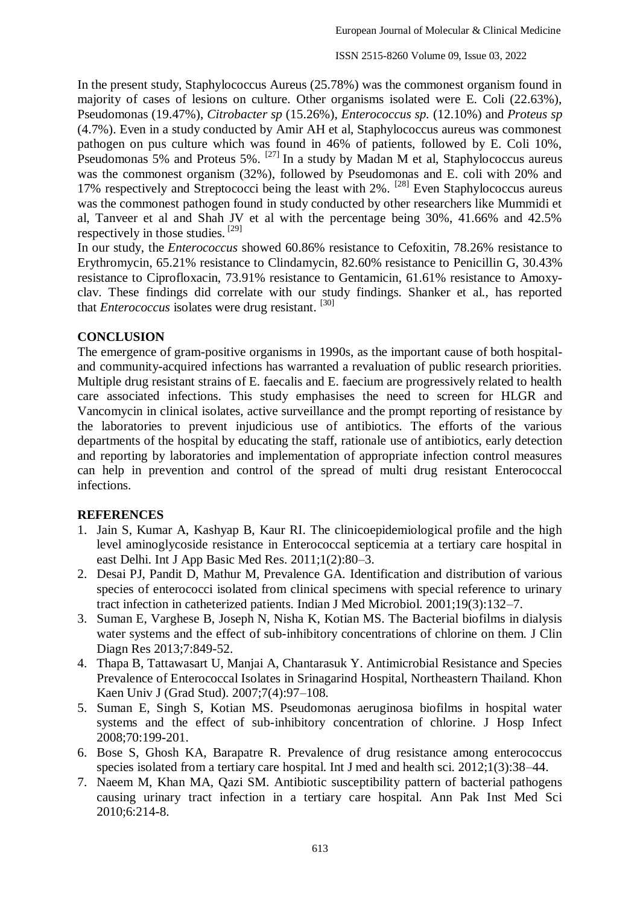In the present study, Staphylococcus Aureus (25.78%) was the commonest organism found in majority of cases of lesions on culture. Other organisms isolated were E. Coli (22.63%), Pseudomonas (19.47%), *Citrobacter sp* (15.26%), *Enterococcus sp.* (12.10%) and *Proteus sp* (4.7%). Even in a study conducted by Amir AH et al, Staphylococcus aureus was commonest pathogen on pus culture which was found in 46% of patients, followed by E. Coli 10%, Pseudomonas 5% and Proteus 5%.  $^{[27]}$  In a study by Madan M et al, Staphylococcus aureus was the commonest organism (32%), followed by Pseudomonas and E. coli with 20% and 17% respectively and Streptococci being the least with 2%. [28] Even Staphylococcus aureus was the commonest pathogen found in study conducted by other researchers like Mummidi et al, Tanveer et al and Shah JV et al with the percentage being 30%, 41.66% and 42.5% respectively in those studies. [29]

In our study, the *Enterococcus* showed 60.86% resistance to Cefoxitin, 78.26% resistance to Erythromycin, 65.21% resistance to Clindamycin, 82.60% resistance to Penicillin G, 30.43% resistance to Ciprofloxacin, 73.91% resistance to Gentamicin, 61.61% resistance to Amoxyclav. These findings did correlate with our study findings. Shanker et al., has reported that *Enterococcus* isolates were drug resistant. <sup>[30]</sup>

### **CONCLUSION**

The emergence of gram-positive organisms in 1990s, as the important cause of both hospitaland community-acquired infections has warranted a revaluation of public research priorities. Multiple drug resistant strains of E. faecalis and E. faecium are progressively related to health care associated infections. This study emphasises the need to screen for HLGR and Vancomycin in clinical isolates, active surveillance and the prompt reporting of resistance by the laboratories to prevent injudicious use of antibiotics. The efforts of the various departments of the hospital by educating the staff, rationale use of antibiotics, early detection and reporting by laboratories and implementation of appropriate infection control measures can help in prevention and control of the spread of multi drug resistant Enterococcal infections.

#### **REFERENCES**

- 1. Jain S, Kumar A, Kashyap B, Kaur RI. The clinicoepidemiological profile and the high level aminoglycoside resistance in Enterococcal septicemia at a tertiary care hospital in east Delhi. Int J App Basic Med Res. 2011;1(2):80–3.
- 2. Desai PJ, Pandit D, Mathur M, Prevalence GA. Identification and distribution of various species of enterococci isolated from clinical specimens with special reference to urinary tract infection in catheterized patients. Indian J Med Microbiol. 2001;19(3):132–7.
- 3. Suman E, Varghese B, Joseph N, Nisha K, Kotian MS. The Bacterial biofilms in dialysis water systems and the effect of sub-inhibitory concentrations of chlorine on them. J Clin Diagn Res 2013;7:849-52.
- 4. Thapa B, Tattawasart U, Manjai A, Chantarasuk Y. Antimicrobial Resistance and Species Prevalence of Enterococcal Isolates in Srinagarind Hospital, Northeastern Thailand. Khon Kaen Univ J (Grad Stud). 2007;7(4):97–108.
- 5. Suman E, Singh S, Kotian MS. Pseudomonas aeruginosa biofilms in hospital water systems and the effect of sub-inhibitory concentration of chlorine. J Hosp Infect 2008;70:199-201.
- 6. Bose S, Ghosh KA, Barapatre R. Prevalence of drug resistance among enterococcus species isolated from a tertiary care hospital. Int J med and health sci. 2012;1(3):38–44.
- 7. Naeem M, Khan MA, Qazi SM. Antibiotic susceptibility pattern of bacterial pathogens causing urinary tract infection in a tertiary care hospital. Ann Pak Inst Med Sci 2010;6:214-8.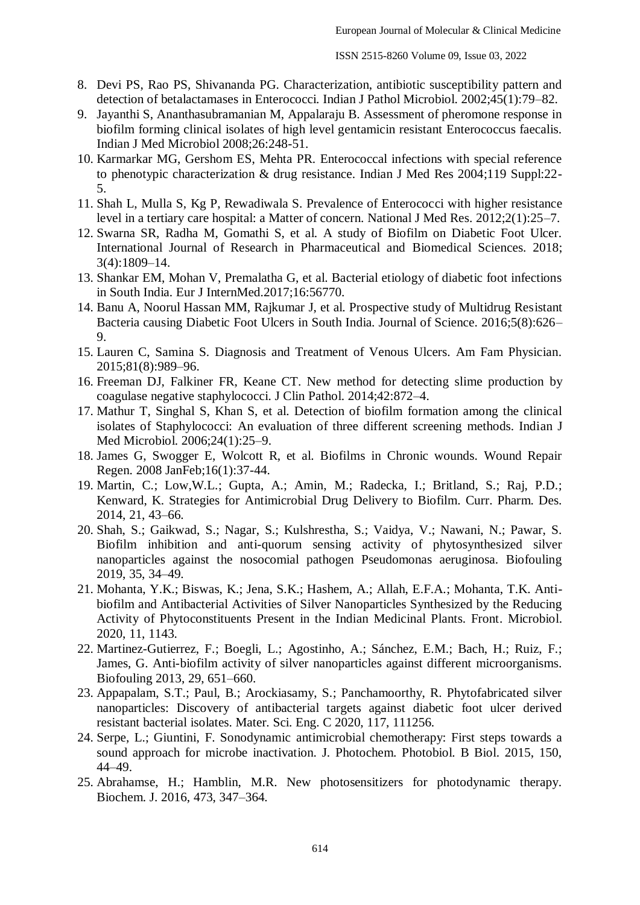- 8. Devi PS, Rao PS, Shivananda PG. Characterization, antibiotic susceptibility pattern and detection of betalactamases in Enterococci. Indian J Pathol Microbiol. 2002;45(1):79–82.
- 9. Jayanthi S, Ananthasubramanian M, Appalaraju B. Assessment of pheromone response in biofilm forming clinical isolates of high level gentamicin resistant Enterococcus faecalis. Indian J Med Microbiol 2008;26:248-51.
- 10. Karmarkar MG, Gershom ES, Mehta PR. Enterococcal infections with special reference to phenotypic characterization & drug resistance. Indian J Med Res 2004;119 Suppl:22- 5.
- 11. Shah L, Mulla S, Kg P, Rewadiwala S. Prevalence of Enterococci with higher resistance level in a tertiary care hospital: a Matter of concern. National J Med Res. 2012;2(1):25–7.
- 12. Swarna SR, Radha M, Gomathi S, et al. A study of Biofilm on Diabetic Foot Ulcer. International Journal of Research in Pharmaceutical and Biomedical Sciences. 2018; 3(4):1809–14.
- 13. Shankar EM, Mohan V, Premalatha G, et al. Bacterial etiology of diabetic foot infections in South India. Eur J InternMed.2017;16:56770.
- 14. Banu A, Noorul Hassan MM, Rajkumar J, et al. Prospective study of Multidrug Resistant Bacteria causing Diabetic Foot Ulcers in South India. Journal of Science. 2016;5(8):626– 9.
- 15. Lauren C, Samina S. Diagnosis and Treatment of Venous Ulcers. Am Fam Physician. 2015;81(8):989–96.
- 16. Freeman DJ, Falkiner FR, Keane CT. New method for detecting slime production by coagulase negative staphylococci. J Clin Pathol. 2014;42:872–4.
- 17. Mathur T, Singhal S, Khan S, et al. Detection of biofilm formation among the clinical isolates of Staphylococci: An evaluation of three different screening methods. Indian J Med Microbiol. 2006;24(1):25–9.
- 18. James G, Swogger E, Wolcott R, et al. Biofilms in Chronic wounds. Wound Repair Regen. 2008 JanFeb;16(1):37-44.
- 19. Martin, C.; Low,W.L.; Gupta, A.; Amin, M.; Radecka, I.; Britland, S.; Raj, P.D.; Kenward, K. Strategies for Antimicrobial Drug Delivery to Biofilm. Curr. Pharm. Des. 2014, 21, 43–66.
- 20. Shah, S.; Gaikwad, S.; Nagar, S.; Kulshrestha, S.; Vaidya, V.; Nawani, N.; Pawar, S. Biofilm inhibition and anti-quorum sensing activity of phytosynthesized silver nanoparticles against the nosocomial pathogen Pseudomonas aeruginosa. Biofouling 2019, 35, 34–49.
- 21. Mohanta, Y.K.; Biswas, K.; Jena, S.K.; Hashem, A.; Allah, E.F.A.; Mohanta, T.K. Antibiofilm and Antibacterial Activities of Silver Nanoparticles Synthesized by the Reducing Activity of Phytoconstituents Present in the Indian Medicinal Plants. Front. Microbiol. 2020, 11, 1143.
- 22. Martinez-Gutierrez, F.; Boegli, L.; Agostinho, A.; Sánchez, E.M.; Bach, H.; Ruiz, F.; James, G. Anti-biofilm activity of silver nanoparticles against different microorganisms. Biofouling 2013, 29, 651–660.
- 23. Appapalam, S.T.; Paul, B.; Arockiasamy, S.; Panchamoorthy, R. Phytofabricated silver nanoparticles: Discovery of antibacterial targets against diabetic foot ulcer derived resistant bacterial isolates. Mater. Sci. Eng. C 2020, 117, 111256.
- 24. Serpe, L.; Giuntini, F. Sonodynamic antimicrobial chemotherapy: First steps towards a sound approach for microbe inactivation. J. Photochem. Photobiol. B Biol. 2015, 150, 44–49.
- 25. Abrahamse, H.; Hamblin, M.R. New photosensitizers for photodynamic therapy. Biochem. J. 2016, 473, 347–364.